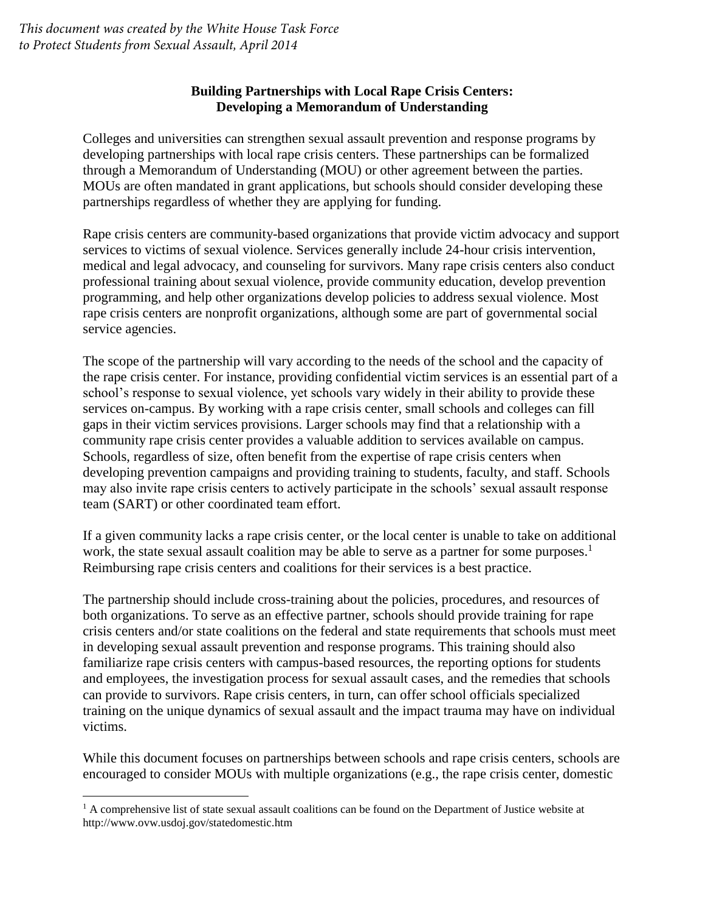# **Building Partnerships with Local Rape Crisis Centers: Developing a Memorandum of Understanding**

Colleges and universities can strengthen sexual assault prevention and response programs by developing partnerships with local rape crisis centers. These partnerships can be formalized through a Memorandum of Understanding (MOU) or other agreement between the parties. MOUs are often mandated in grant applications, but schools should consider developing these partnerships regardless of whether they are applying for funding.

Rape crisis centers are community-based organizations that provide victim advocacy and support services to victims of sexual violence. Services generally include 24-hour crisis intervention, medical and legal advocacy, and counseling for survivors. Many rape crisis centers also conduct professional training about sexual violence, provide community education, develop prevention programming, and help other organizations develop policies to address sexual violence. Most rape crisis centers are nonprofit organizations, although some are part of governmental social service agencies.

The scope of the partnership will vary according to the needs of the school and the capacity of the rape crisis center. For instance, providing confidential victim services is an essential part of a school's response to sexual violence, yet schools vary widely in their ability to provide these services on-campus. By working with a rape crisis center, small schools and colleges can fill gaps in their victim services provisions. Larger schools may find that a relationship with a community rape crisis center provides a valuable addition to services available on campus. Schools, regardless of size, often benefit from the expertise of rape crisis centers when developing prevention campaigns and providing training to students, faculty, and staff. Schools may also invite rape crisis centers to actively participate in the schools' sexual assault response team (SART) or other coordinated team effort.

If a given community lacks a rape crisis center, or the local center is unable to take on additional work, the state sexual assault coalition may be able to serve as a partner for some purposes.<sup>1</sup> Reimbursing rape crisis centers and coalitions for their services is a best practice.

The partnership should include cross-training about the policies, procedures, and resources of both organizations. To serve as an effective partner, schools should provide training for rape crisis centers and/or state coalitions on the federal and state requirements that schools must meet in developing sexual assault prevention and response programs. This training should also familiarize rape crisis centers with campus-based resources, the reporting options for students and employees, the investigation process for sexual assault cases, and the remedies that schools can provide to survivors. Rape crisis centers, in turn, can offer school officials specialized training on the unique dynamics of sexual assault and the impact trauma may have on individual victims.

While this document focuses on partnerships between schools and rape crisis centers, schools are encouraged to consider MOUs with multiple organizations (e.g., the rape crisis center, domestic

<sup>&</sup>lt;sup>1</sup> A comprehensive list of state sexual assault coalitions can be found on the Department of Justice website at http://www.ovw.usdoj.gov/statedomestic.htm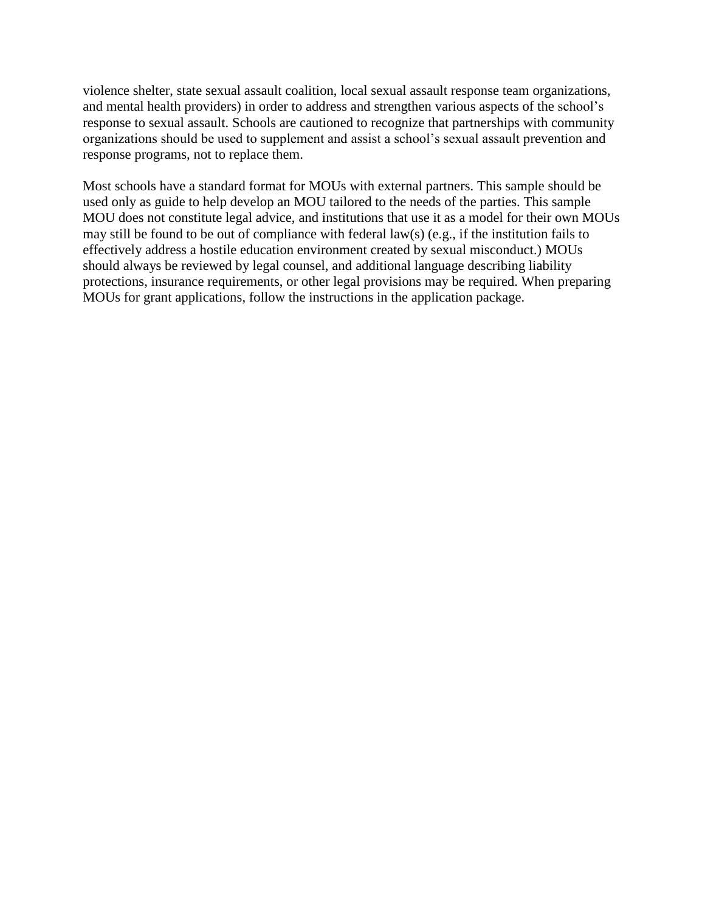violence shelter, state sexual assault coalition, local sexual assault response team organizations, and mental health providers) in order to address and strengthen various aspects of the school's response to sexual assault. Schools are cautioned to recognize that partnerships with community organizations should be used to supplement and assist a school's sexual assault prevention and response programs, not to replace them.

Most schools have a standard format for MOUs with external partners. This sample should be used only as guide to help develop an MOU tailored to the needs of the parties. This sample MOU does not constitute legal advice, and institutions that use it as a model for their own MOUs may still be found to be out of compliance with federal law(s) (e.g., if the institution fails to effectively address a hostile education environment created by sexual misconduct.) MOUs should always be reviewed by legal counsel, and additional language describing liability protections, insurance requirements, or other legal provisions may be required. When preparing MOUs for grant applications, follow the instructions in the application package.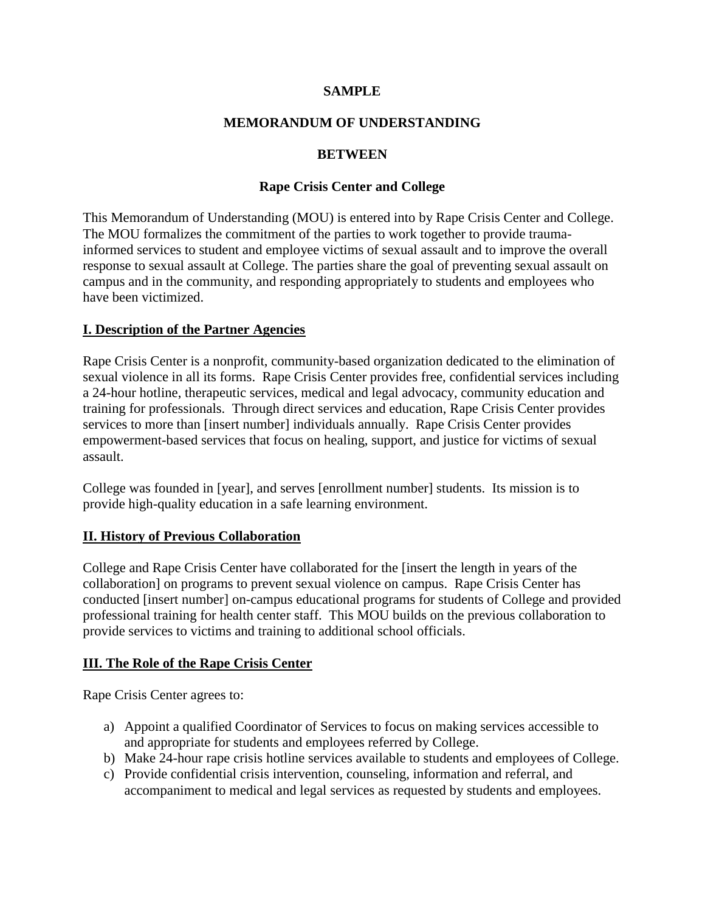#### **SAMPLE**

### **MEMORANDUM OF UNDERSTANDING**

### **BETWEEN**

### **Rape Crisis Center and College**

This Memorandum of Understanding (MOU) is entered into by Rape Crisis Center and College. The MOU formalizes the commitment of the parties to work together to provide traumainformed services to student and employee victims of sexual assault and to improve the overall response to sexual assault at College. The parties share the goal of preventing sexual assault on campus and in the community, and responding appropriately to students and employees who have been victimized.

### **I. Description of the Partner Agencies**

Rape Crisis Center is a nonprofit, community-based organization dedicated to the elimination of sexual violence in all its forms. Rape Crisis Center provides free, confidential services including a 24-hour hotline, therapeutic services, medical and legal advocacy, community education and training for professionals. Through direct services and education, Rape Crisis Center provides services to more than [insert number] individuals annually. Rape Crisis Center provides empowerment-based services that focus on healing, support, and justice for victims of sexual assault.

College was founded in [year], and serves [enrollment number] students. Its mission is to provide high-quality education in a safe learning environment.

# **II. History of Previous Collaboration**

College and Rape Crisis Center have collaborated for the [insert the length in years of the collaboration] on programs to prevent sexual violence on campus. Rape Crisis Center has conducted [insert number] on-campus educational programs for students of College and provided professional training for health center staff. This MOU builds on the previous collaboration to provide services to victims and training to additional school officials.

# **III. The Role of the Rape Crisis Center**

Rape Crisis Center agrees to:

- a) Appoint a qualified Coordinator of Services to focus on making services accessible to and appropriate for students and employees referred by College.
- b) Make 24-hour rape crisis hotline services available to students and employees of College.
- c) Provide confidential crisis intervention, counseling, information and referral, and accompaniment to medical and legal services as requested by students and employees.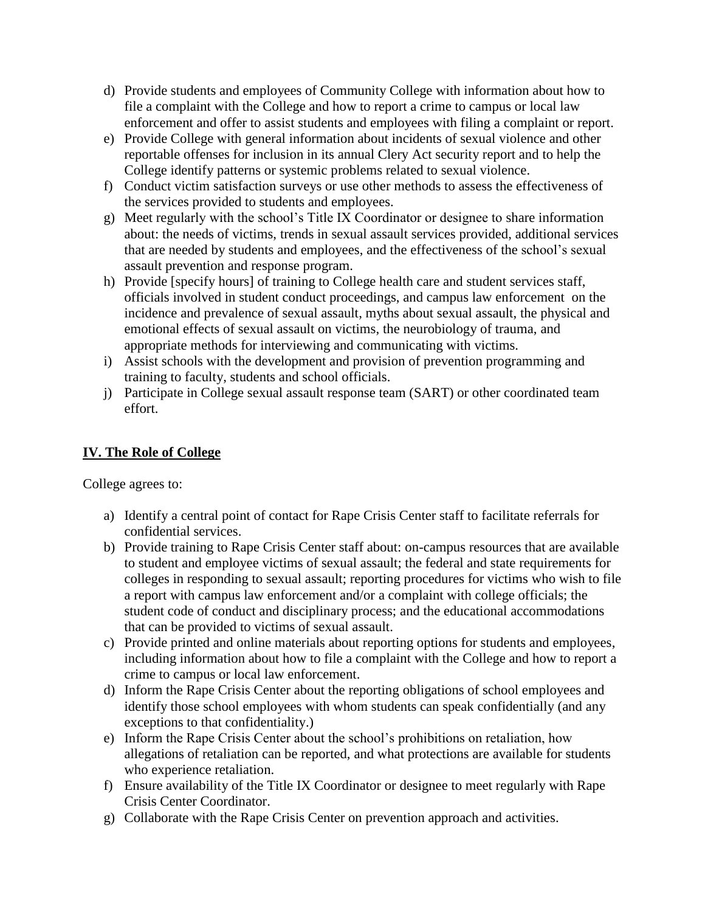- d) Provide students and employees of Community College with information about how to file a complaint with the College and how to report a crime to campus or local law enforcement and offer to assist students and employees with filing a complaint or report.
- e) Provide College with general information about incidents of sexual violence and other reportable offenses for inclusion in its annual Clery Act security report and to help the College identify patterns or systemic problems related to sexual violence.
- f) Conduct victim satisfaction surveys or use other methods to assess the effectiveness of the services provided to students and employees.
- g) Meet regularly with the school's Title IX Coordinator or designee to share information about: the needs of victims, trends in sexual assault services provided, additional services that are needed by students and employees, and the effectiveness of the school's sexual assault prevention and response program.
- h) Provide [specify hours] of training to College health care and student services staff, officials involved in student conduct proceedings, and campus law enforcement on the incidence and prevalence of sexual assault, myths about sexual assault, the physical and emotional effects of sexual assault on victims, the neurobiology of trauma, and appropriate methods for interviewing and communicating with victims.
- i) Assist schools with the development and provision of prevention programming and training to faculty, students and school officials.
- j) Participate in College sexual assault response team (SART) or other coordinated team effort.

# **IV. The Role of College**

College agrees to:

- a) Identify a central point of contact for Rape Crisis Center staff to facilitate referrals for confidential services.
- b) Provide training to Rape Crisis Center staff about: on-campus resources that are available to student and employee victims of sexual assault; the federal and state requirements for colleges in responding to sexual assault; reporting procedures for victims who wish to file a report with campus law enforcement and/or a complaint with college officials; the student code of conduct and disciplinary process; and the educational accommodations that can be provided to victims of sexual assault.
- c) Provide printed and online materials about reporting options for students and employees, including information about how to file a complaint with the College and how to report a crime to campus or local law enforcement.
- d) Inform the Rape Crisis Center about the reporting obligations of school employees and identify those school employees with whom students can speak confidentially (and any exceptions to that confidentiality.)
- e) Inform the Rape Crisis Center about the school's prohibitions on retaliation, how allegations of retaliation can be reported, and what protections are available for students who experience retaliation.
- f) Ensure availability of the Title IX Coordinator or designee to meet regularly with Rape Crisis Center Coordinator.
- g) Collaborate with the Rape Crisis Center on prevention approach and activities.